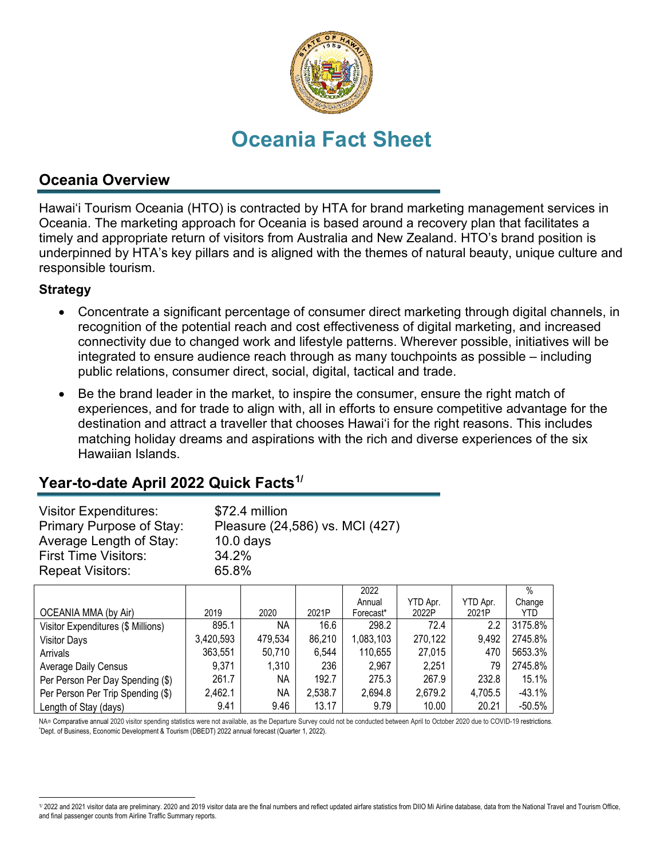

# **Oceania Fact Sheet**

## **Oceania Overview**

Hawai'i Tourism Oceania (HTO) is contracted by HTA for brand marketing management services in Oceania. The marketing approach for Oceania is based around a recovery plan that facilitates a timely and appropriate return of visitors from Australia and New Zealand. HTO's brand position is underpinned by HTA's key pillars and is aligned with the themes of natural beauty, unique culture and responsible tourism.

#### **Strategy**

- Concentrate a significant percentage of consumer direct marketing through digital channels, in recognition of the potential reach and cost effectiveness of digital marketing, and increased connectivity due to changed work and lifestyle patterns. Wherever possible, initiatives will be integrated to ensure audience reach through as many touchpoints as possible – including public relations, consumer direct, social, digital, tactical and trade.
- Be the brand leader in the market, to inspire the consumer, ensure the right match of experiences, and for trade to align with, all in efforts to ensure competitive advantage for the destination and attract a traveller that chooses Hawai'i for the right reasons. This includes matching holiday dreams and aspirations with the rich and diverse experiences of the six Hawaiian Islands.

# **Year-to-date April 2022 Quick Facts[1](#page-0-0)/**

| <b>Visitor Expenditures:</b> | \$72.4 million                  |
|------------------------------|---------------------------------|
| Primary Purpose of Stay:     | Pleasure (24,586) vs. MCI (427) |
| Average Length of Stay:      | $10.0$ days                     |
| <b>First Time Visitors:</b>  | 34.2%                           |
| <b>Repeat Visitors:</b>      | 65.8%                           |

|                                    |           |         |         | 2022      |          |          | $\%$     |
|------------------------------------|-----------|---------|---------|-----------|----------|----------|----------|
|                                    |           |         |         | Annual    | YTD Apr. | YTD Apr. | Change   |
| OCEANIA MMA (by Air)               | 2019      | 2020    | 2021P   | Forecast* | 2022P    | 2021P    | YTD.     |
| Visitor Expenditures (\$ Millions) | 895.1     | NA.     | 16.6    | 298.2     | 72.4     | 2.2      | 3175.8%  |
| <b>Visitor Days</b>                | 3,420,593 | 479,534 | 86,210  | 1,083,103 | 270,122  | 9,492    | 2745.8%  |
| Arrivals                           | 363,551   | 50,710  | 6,544   | 110,655   | 27,015   | 470      | 5653.3%  |
| <b>Average Daily Census</b>        | 9,371     | 1,310   | 236     | 2,967     | 2,251    | 79       | 2745.8%  |
| Per Person Per Day Spending (\$)   | 261.7     | NA.     | 192.7   | 275.3     | 267.9    | 232.8    | 15.1%    |
| Per Person Per Trip Spending (\$)  | 2,462.1   | NA      | 2,538.7 | 2,694.8   | 2,679.2  | 4,705.5  | $-43.1%$ |
| Length of Stay (days)              | 9.41      | 9.46    | 13.17   | 9.79      | 10.00    | 20.21    | $-50.5%$ |

NA= Comparative annual 2020 visitor spending statistics were not available, as the Departure Survey could not be conducted between April to October 2020 due to COVID-19 restrictions. Dept. of Business, Economic Development & Tourism (DBEDT) 2022 annual forecast (Quarter 1, 2022).

<span id="page-0-0"></span><sup>1/ 2022</sup> and 2021 visitor data are preliminary. 2020 and 2019 visitor data are the final numbers and reflect updated airfare statistics from DIIO Mi Airline database, data from the National Travel and Tourism Office, and final passenger counts from Airline Traffic Summary reports.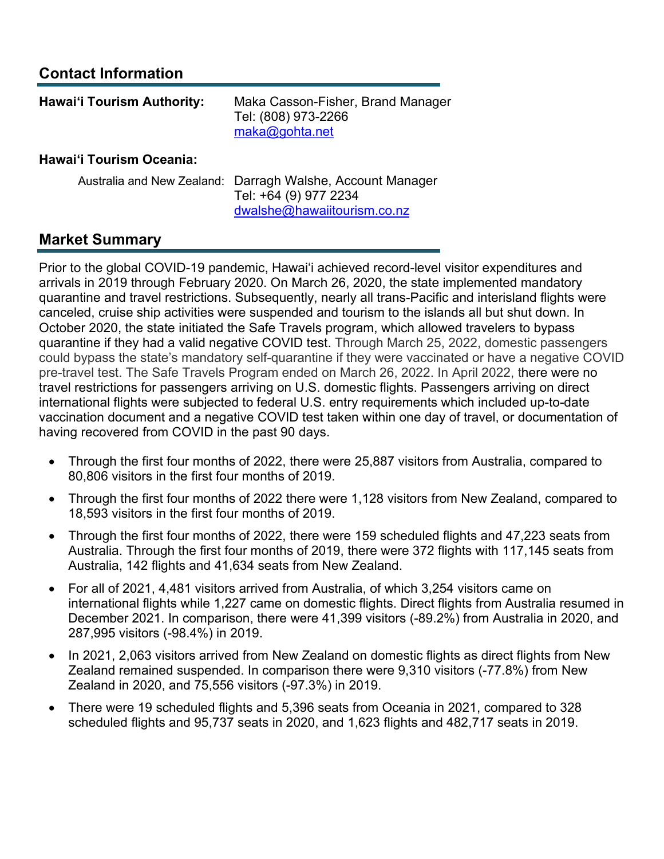# **Contact Information**

| <b>Hawai'i Tourism Authority:</b> | Maka Casson-Fisher, Brand Manager<br>Tel: (808) 973-2266<br>maka@gohta.net |
|-----------------------------------|----------------------------------------------------------------------------|
| <b>Hawai'i Tourism Oceania:</b>   |                                                                            |

#### Australia and New Zealand: Darragh Walshe, Account Manager Tel: +64 (9) 977 2234 [dwalshe@hawaiitourism.co.nz](mailto:dwalshe@hawaiitourism.co.nz)

## **Market Summary**

Prior to the global COVID-19 pandemic, Hawai'i achieved record-level visitor expenditures and arrivals in 2019 through February 2020. On March 26, 2020, the state implemented mandatory quarantine and travel restrictions. Subsequently, nearly all trans-Pacific and interisland flights were canceled, cruise ship activities were suspended and tourism to the islands all but shut down. In October 2020, the state initiated the Safe Travels program, which allowed travelers to bypass quarantine if they had a valid negative COVID test. Through March 25, 2022, domestic passengers could bypass the state's mandatory self-quarantine if they were vaccinated or have a negative COVID pre-travel test. The Safe Travels Program ended on March 26, 2022. In April 2022, there were no travel restrictions for passengers arriving on U.S. domestic flights. Passengers arriving on direct international flights were subjected to federal U.S. entry requirements which included up-to-date vaccination document and a negative COVID test taken within one day of travel, or documentation of having recovered from COVID in the past 90 days.

- Through the first four months of 2022, there were 25,887 visitors from Australia, compared to 80,806 visitors in the first four months of 2019.
- Through the first four months of 2022 there were 1,128 visitors from New Zealand, compared to 18,593 visitors in the first four months of 2019.
- Through the first four months of 2022, there were 159 scheduled flights and 47,223 seats from Australia. Through the first four months of 2019, there were 372 flights with 117,145 seats from Australia, 142 flights and 41,634 seats from New Zealand.
- For all of 2021, 4,481 visitors arrived from Australia, of which 3,254 visitors came on international flights while 1,227 came on domestic flights. Direct flights from Australia resumed in December 2021. In comparison, there were 41,399 visitors (-89.2%) from Australia in 2020, and 287,995 visitors (-98.4%) in 2019.
- In 2021, 2,063 visitors arrived from New Zealand on domestic flights as direct flights from New Zealand remained suspended. In comparison there were 9,310 visitors (-77.8%) from New Zealand in 2020, and 75,556 visitors (-97.3%) in 2019.
- There were 19 scheduled flights and 5,396 seats from Oceania in 2021, compared to 328 scheduled flights and 95,737 seats in 2020, and 1,623 flights and 482,717 seats in 2019.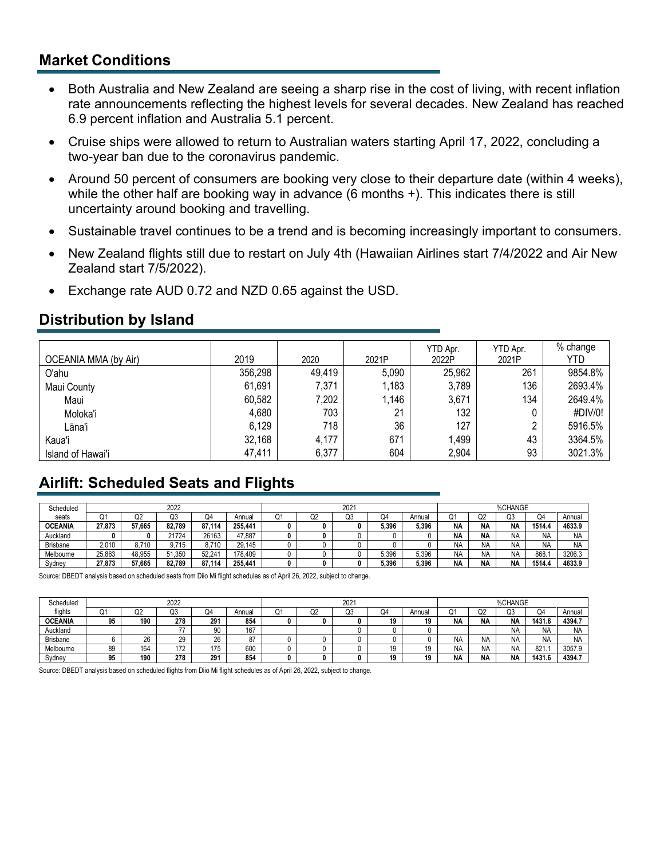#### **Market Conditions**

- Both Australia and New Zealand are seeing a sharp rise in the cost of living, with recent inflation rate announcements reflecting the highest levels for several decades. New Zealand has reached 6.9 percent inflation and Australia 5.1 percent.
- Cruise ships were allowed to return to Australian waters starting April 17, 2022, concluding a two-year ban due to the coronavirus pandemic.
- Around 50 percent of consumers are booking very close to their departure date (within 4 weeks), while the other half are booking way in advance (6 months +). This indicates there is still uncertainty around booking and travelling.
- Sustainable travel continues to be a trend and is becoming increasingly important to consumers.
- New Zealand flights still due to restart on July 4th (Hawaiian Airlines start 7/4/2022 and Air New Zealand start 7/5/2022).
- Exchange rate AUD 0.72 and NZD 0.65 against the USD.

## **Distribution by Island**

| <b>OCEANIA MMA (by Air)</b> | 2019    | 2020   | 2021P | YTD Apr.<br>2022P | YTD Apr.<br>2021P | % change<br>YTD |
|-----------------------------|---------|--------|-------|-------------------|-------------------|-----------------|
| O'ahu                       | 356,298 | 49,419 | 5,090 | 25,962            | 261               | 9854.8%         |
| Maui County                 | 61,691  | 7,371  | 1,183 | 3,789             | 136               | 2693.4%         |
| Maui                        | 60,582  | 7,202  | 1.146 | 3,671             | 134               | 2649.4%         |
| Moloka'i                    | 4,680   | 703    | 21    | 132               |                   | #DIV/0!         |
| Lāna'i                      | 6,129   | 718    | 36    | 127               | n                 | 5916.5%         |
| Kaua'i                      | 32,168  | 4,177  | 671   | 1,499             | 43                | 3364.5%         |
| Island of Hawai'i           | 47,411  | 6,377  | 604   | 2,904             | 93                | 3021.3%         |

# **Airlift: Scheduled Seats and Flights**

| Scheduled       | 2022   |        |        |        |         | 2021 |    |    |       | %CHANGE |           |                |           |           |           |
|-----------------|--------|--------|--------|--------|---------|------|----|----|-------|---------|-----------|----------------|-----------|-----------|-----------|
| seats           | Q1     | Q2     | Q3     | Q4     | Annual  | Ő.   | Q2 | Q3 | Q4    | Annual  | Q1        | Q <sub>2</sub> | Q3        | Q4        | Annual    |
| <b>OCEANIA</b>  | 27.873 | 57.665 | 82.789 | 87.114 | 255.441 |      |    |    | 5.396 | 5.396   | <b>NA</b> | <b>NA</b>      | <b>NA</b> | 1514.4    | 4633.9    |
| Auckland        |        |        | 21724  | 26163  | 47.887  |      |    |    |       |         | <b>NA</b> | <b>NA</b>      | <b>NA</b> | <b>NA</b> | <b>NA</b> |
| <b>Brisbane</b> | 2.010  | 8.710  | 9.715  | 8.710  | 29.145  |      |    |    |       |         | NΑ        | <b>NA</b>      | <b>NA</b> | <b>NA</b> | <b>NA</b> |
| Melbourne       | 25.863 | 48.955 | 51.350 | 52.241 | 178.409 |      |    |    | 5.396 | 5,396   | <b>NA</b> | <b>NA</b>      | <b>NA</b> | 868.      | 3206.3    |
| Sydney          | 27.873 | 57.665 | 82.789 | 87.114 | 255.441 |      |    |    | 5.396 | 5.396   | <b>NA</b> | <b>NA</b>      | <b>NA</b> | 1514.4    | 4633.9    |

Source: DBEDT analysis based on scheduled seats from Diio Mi flight schedules as of April 26, 2022, subject to change.

| Scheduled       | 2022 |     |     |              |          |    | 2021 |    |    |        | %CHANGE   |                |           |           |           |
|-----------------|------|-----|-----|--------------|----------|----|------|----|----|--------|-----------|----------------|-----------|-----------|-----------|
| flights         | Q1   | Q2  | Q3  | Q4           | Annual   | Ő. | Q2   | Q3 | Q4 | Annua  | Q1        | Q <sub>2</sub> | Q3        | Q4        | Annual    |
| <b>OCEANIA</b>  | 95   | 190 | 278 | 291          | 854      |    |      |    | 19 | 19     | <b>NA</b> | <b>NA</b>      | <b>NA</b> | 1431.6    | 4394.     |
| Auckland        |      |     |     | 90           | 167      |    |      |    |    |        |           |                | ΝA        | NA        | <b>NA</b> |
| <b>Brisbane</b> |      | 26  | 29  | 26           | 07<br>ŏ1 |    |      |    |    |        | NA        | NA             | ΝA        | <b>NA</b> | <b>NA</b> |
| Melbourne       | 89   | 164 | 172 | 175<br>ن ا ا | 600      |    |      |    | 19 | .      | NA        | NA             | NA        | 821.      | 3057.9    |
| Sydney          | 95   | 190 | 278 | 291          | 854      |    |      |    | 19 | 10<br> | <b>NA</b> | <b>NA</b>      | <b>NA</b> | 1431.6    | 4394.7    |

Source: DBEDT analysis based on scheduled flights from Diio Mi flight schedules as of April 26, 2022, subject to change.